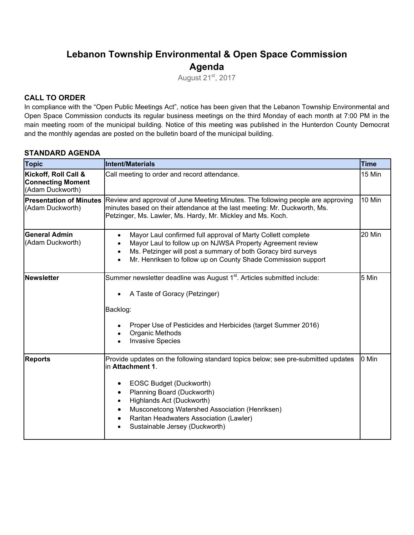# **Lebanon Township Environmental & Open Space Commission Agenda**

August 21st, 2017

#### **CALL TO ORDER**

In compliance with the "Open Public Meetings Act", notice has been given that the Lebanon Township Environmental and Open Space Commission conducts its regular business meetings on the third Monday of each month at 7:00 PM in the main meeting room of the municipal building. Notice of this meeting was published in the Hunterdon County Democrat and the monthly agendas are posted on the bulletin board of the municipal building.

#### **STANDARD AGENDA**

| <b>Topic</b>                                                         | Intent/Materials                                                                                                                                                                                                                                                                                                                        | <b>Time</b> |
|----------------------------------------------------------------------|-----------------------------------------------------------------------------------------------------------------------------------------------------------------------------------------------------------------------------------------------------------------------------------------------------------------------------------------|-------------|
| Kickoff, Roll Call &<br><b>Connecting Moment</b><br>(Adam Duckworth) | Call meeting to order and record attendance.                                                                                                                                                                                                                                                                                            | 15 Min      |
| <b>Presentation of Minutes</b><br>(Adam Duckworth)                   | Review and approval of June Meeting Minutes. The following people are approving<br>minutes based on their attendance at the last meeting: Mr. Duckworth, Ms.<br>Petzinger, Ms. Lawler, Ms. Hardy, Mr. Mickley and Ms. Koch.                                                                                                             | 10 Min      |
| <b>General Admin</b><br>(Adam Duckworth)                             | Mayor Laul confirmed full approval of Marty Collett complete<br>$\bullet$<br>Mayor Laul to follow up on NJWSA Property Agreement review<br>$\bullet$<br>Ms. Petzinger will post a summary of both Goracy bird surveys<br>$\bullet$<br>Mr. Henriksen to follow up on County Shade Commission support<br>$\bullet$                        | 20 Min      |
| Newsletter                                                           | Summer newsletter deadline was August 1 <sup>st</sup> . Articles submitted include:<br>A Taste of Goracy (Petzinger)<br>Backlog:<br>Proper Use of Pesticides and Herbicides (target Summer 2016)<br>Organic Methods<br><b>Invasive Species</b>                                                                                          | 5 Min       |
| <b>Reports</b>                                                       | Provide updates on the following standard topics below; see pre-submitted updates<br>in Attachment 1.<br>EOSC Budget (Duckworth)<br>Planning Board (Duckworth)<br>Highlands Act (Duckworth)<br>$\bullet$<br>Musconetcong Watershed Association (Henriksen)<br>Raritan Headwaters Association (Lawler)<br>Sustainable Jersey (Duckworth) | 0 Min       |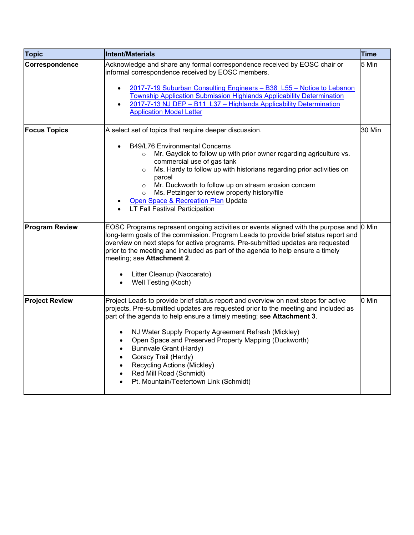| <b>Topic</b>          | <b>Intent/Materials</b>                                                                                                                                                                                                                                                                                                                                                                                                                                                                                                                                                      | <b>Time</b>   |
|-----------------------|------------------------------------------------------------------------------------------------------------------------------------------------------------------------------------------------------------------------------------------------------------------------------------------------------------------------------------------------------------------------------------------------------------------------------------------------------------------------------------------------------------------------------------------------------------------------------|---------------|
| Correspondence        | Acknowledge and share any formal correspondence received by EOSC chair or<br>informal correspondence received by EOSC members.                                                                                                                                                                                                                                                                                                                                                                                                                                               | 5 Min         |
|                       | 2017-7-19 Suburban Consulting Engineers - B38 L55 - Notice to Lebanon<br>$\bullet$<br>Township Application Submission Highlands Applicability Determination<br>2017-7-13 NJ DEP - B11 L37 - Highlands Applicability Determination<br>$\bullet$<br><b>Application Model Letter</b>                                                                                                                                                                                                                                                                                            |               |
| <b>Focus Topics</b>   | A select set of topics that require deeper discussion.                                                                                                                                                                                                                                                                                                                                                                                                                                                                                                                       | <b>30 Min</b> |
|                       | B49/L76 Environmental Concerns<br>$\bullet$<br>Mr. Gaydick to follow up with prior owner regarding agriculture vs.<br>$\circ$<br>commercial use of gas tank<br>Ms. Hardy to follow up with historians regarding prior activities on<br>$\circ$<br>parcel<br>Mr. Duckworth to follow up on stream erosion concern<br>$\circ$<br>Ms. Petzinger to review property history/file<br>$\circ$<br>Open Space & Recreation Plan Update<br>LT Fall Festival Participation                                                                                                             |               |
| <b>Program Review</b> | EOSC Programs represent ongoing activities or events aligned with the purpose and 0 Min<br>long-term goals of the commission. Program Leads to provide brief status report and<br>overview on next steps for active programs. Pre-submitted updates are requested<br>prior to the meeting and included as part of the agenda to help ensure a timely<br>meeting; see Attachment 2.                                                                                                                                                                                           |               |
|                       | Litter Cleanup (Naccarato)<br>Well Testing (Koch)                                                                                                                                                                                                                                                                                                                                                                                                                                                                                                                            |               |
| <b>Project Review</b> | Project Leads to provide brief status report and overview on next steps for active<br>projects. Pre-submitted updates are requested prior to the meeting and included as<br>part of the agenda to help ensure a timely meeting; see Attachment 3.<br>NJ Water Supply Property Agreement Refresh (Mickley)<br>Open Space and Preserved Property Mapping (Duckworth)<br>$\bullet$<br>Bunnvale Grant (Hardy)<br>$\bullet$<br>Goracy Trail (Hardy)<br>Recycling Actions (Mickley)<br>$\bullet$<br>Red Mill Road (Schmidt)<br>$\bullet$<br>Pt. Mountain/Teetertown Link (Schmidt) | 0 Min         |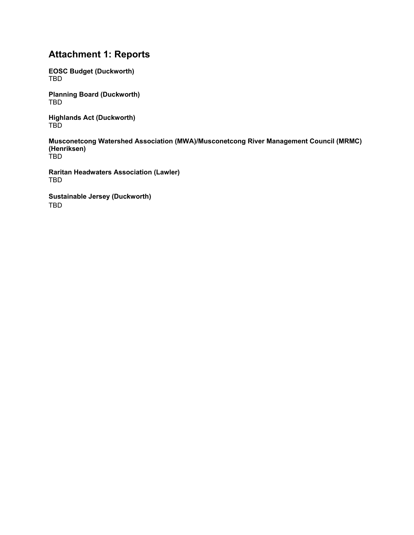# **Attachment 1: Reports**

**EOSC Budget (Duckworth)**  TBD

**Planning Board (Duckworth)**  TBD

**Highlands Act (Duckworth)**  TBD

**Musconetcong Watershed Association (MWA)/Musconetcong River Management Council (MRMC) (Henriksen)**  TBD

**Raritan Headwaters Association (Lawler)**  TBD

**Sustainable Jersey (Duckworth)**  TBD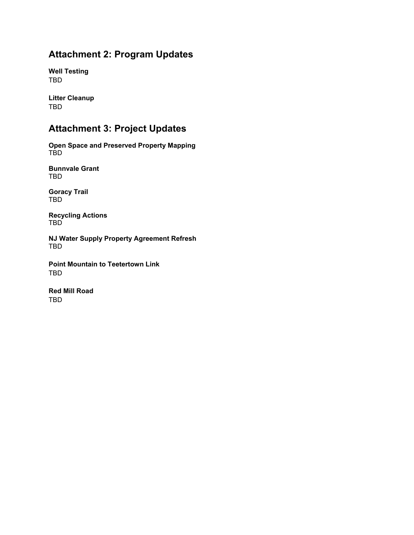# **Attachment 2: Program Updates**

**Well Testing** TBD

**Litter Cleanup** TBD

### **Attachment 3: Project Updates**

**Open Space and Preserved Property Mapping**  TBD

**Bunnvale Grant** TBD

**Goracy Trail**  TBD

**Recycling Actions** TBD

**NJ Water Supply Property Agreement Refresh**  TBD

**Point Mountain to Teetertown Link** TBD

**Red Mill Road**  TBD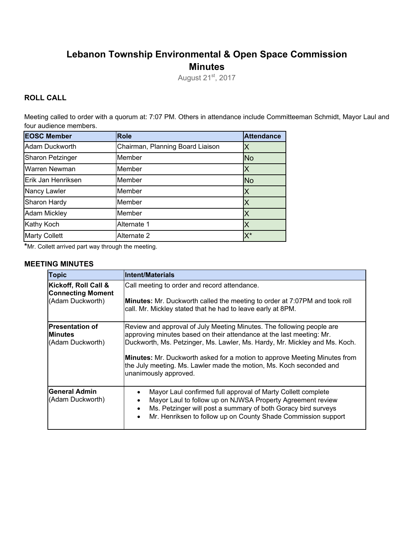# **Lebanon Township Environmental & Open Space Commission Minutes**

August 21st, 2017

#### **ROLL CALL**

Meeting called to order with a quorum at: 7:07 PM. Others in attendance include Committeeman Schmidt, Mayor Laul and four audience members.

| <b>EOSC Member</b>   | <b>Role</b>                      | <b>Attendance</b> |
|----------------------|----------------------------------|-------------------|
| Adam Duckworth       | Chairman, Planning Board Liaison | Х                 |
| Sharon Petzinger     | Member                           | <b>No</b>         |
| Warren Newman        | Member                           | Χ                 |
| Erik Jan Henriksen   | Member                           | <b>No</b>         |
| Nancy Lawler         | Member                           |                   |
| Sharon Hardy         | Member                           |                   |
| <b>Adam Mickley</b>  | Member                           | Χ                 |
| <b>Kathy Koch</b>    | Alternate 1                      |                   |
| <b>Marty Collett</b> | Alternate 2                      | X*                |

**\***Mr. Collett arrived part way through the meeting.

#### **MEETING MINUTES**

| <b>Topic</b>                                                         | Intent/Materials                                                                                                                                                                                                                                                                                                                                                                                                |
|----------------------------------------------------------------------|-----------------------------------------------------------------------------------------------------------------------------------------------------------------------------------------------------------------------------------------------------------------------------------------------------------------------------------------------------------------------------------------------------------------|
| Kickoff, Roll Call &<br><b>Connecting Moment</b><br>(Adam Duckworth) | Call meeting to order and record attendance.<br><b>Minutes:</b> Mr. Duckworth called the meeting to order at 7:07PM and took roll<br>call. Mr. Mickley stated that he had to leave early at 8PM.                                                                                                                                                                                                                |
| lPresentation of<br><b>Minutes</b><br>(Adam Duckworth)               | Review and approval of July Meeting Minutes. The following people are<br>approving minutes based on their attendance at the last meeting: Mr.<br>Duckworth, Ms. Petzinger, Ms. Lawler, Ms. Hardy, Mr. Mickley and Ms. Koch.<br><b>Minutes:</b> Mr. Duckworth asked for a motion to approve Meeting Minutes from<br>the July meeting. Ms. Lawler made the motion, Ms. Koch seconded and<br>unanimously approved. |
| <b>General Admin</b><br>(Adam Duckworth)                             | Mayor Laul confirmed full approval of Marty Collett complete<br>٠<br>Mayor Laul to follow up on NJWSA Property Agreement review<br>$\bullet$<br>Ms. Petzinger will post a summary of both Goracy bird surveys<br>Mr. Henriksen to follow up on County Shade Commission support                                                                                                                                  |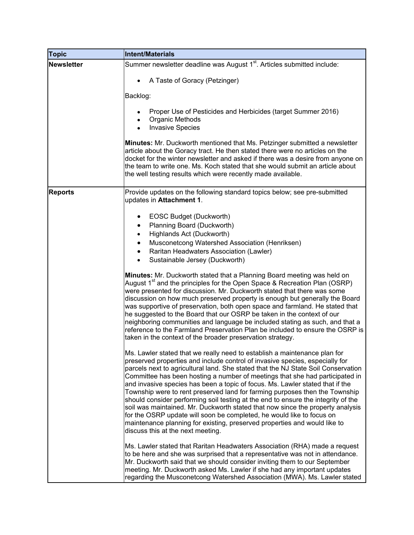| <b>Topic</b>      | <b>Intent/Materials</b>                                                                                                                                                                                                                                                                                                                                                                                                                                                                                                                                                                                                                                                                                                                                                                                                                                          |
|-------------------|------------------------------------------------------------------------------------------------------------------------------------------------------------------------------------------------------------------------------------------------------------------------------------------------------------------------------------------------------------------------------------------------------------------------------------------------------------------------------------------------------------------------------------------------------------------------------------------------------------------------------------------------------------------------------------------------------------------------------------------------------------------------------------------------------------------------------------------------------------------|
| <b>Newsletter</b> | Summer newsletter deadline was August 1 <sup>st</sup> . Articles submitted include:                                                                                                                                                                                                                                                                                                                                                                                                                                                                                                                                                                                                                                                                                                                                                                              |
|                   | A Taste of Goracy (Petzinger)                                                                                                                                                                                                                                                                                                                                                                                                                                                                                                                                                                                                                                                                                                                                                                                                                                    |
|                   | Backlog:                                                                                                                                                                                                                                                                                                                                                                                                                                                                                                                                                                                                                                                                                                                                                                                                                                                         |
|                   | Proper Use of Pesticides and Herbicides (target Summer 2016)<br>Organic Methods<br><b>Invasive Species</b>                                                                                                                                                                                                                                                                                                                                                                                                                                                                                                                                                                                                                                                                                                                                                       |
|                   | <b>Minutes:</b> Mr. Duckworth mentioned that Ms. Petzinger submitted a newsletter<br>article about the Goracy tract. He then stated there were no articles on the<br>docket for the winter newsletter and asked if there was a desire from anyone on<br>the team to write one. Ms. Koch stated that she would submit an article about<br>the well testing results which were recently made available.                                                                                                                                                                                                                                                                                                                                                                                                                                                            |
| <b>Reports</b>    | Provide updates on the following standard topics below; see pre-submitted<br>updates in Attachment 1.                                                                                                                                                                                                                                                                                                                                                                                                                                                                                                                                                                                                                                                                                                                                                            |
|                   | EOSC Budget (Duckworth)<br>Planning Board (Duckworth)<br>Highlands Act (Duckworth)<br>$\bullet$<br>Musconetcong Watershed Association (Henriksen)<br>Raritan Headwaters Association (Lawler)<br>Sustainable Jersey (Duckworth)                                                                                                                                                                                                                                                                                                                                                                                                                                                                                                                                                                                                                                   |
|                   | Minutes: Mr. Duckworth stated that a Planning Board meeting was held on<br>August $1st$ and the principles for the Open Space & Recreation Plan (OSRP)<br>were presented for discussion. Mr. Duckworth stated that there was some<br>discussion on how much preserved property is enough but generally the Board<br>was supportive of preservation, both open space and farmland. He stated that<br>he suggested to the Board that our OSRP be taken in the context of our<br>neighboring communities and language be included stating as such, and that a<br>reference to the Farmland Preservation Plan be included to ensure the OSRP is<br>taken in the context of the broader preservation strategy.                                                                                                                                                        |
|                   | Ms. Lawler stated that we really need to establish a maintenance plan for<br>preserved properties and include control of invasive species, especially for<br>parcels next to agricultural land. She stated that the NJ State Soil Conservation<br>Committee has been hosting a number of meetings that she had participated in<br>and invasive species has been a topic of focus. Ms. Lawler stated that if the<br>Township were to rent preserved land for farming purposes then the Township<br>should consider performing soil testing at the end to ensure the integrity of the<br>soil was maintained. Mr. Duckworth stated that now since the property analysis<br>for the OSRP update will soon be completed, he would like to focus on<br>maintenance planning for existing, preserved properties and would like to<br>discuss this at the next meeting. |
|                   | Ms. Lawler stated that Raritan Headwaters Association (RHA) made a request<br>to be here and she was surprised that a representative was not in attendance.<br>Mr. Duckworth said that we should consider inviting them to our September<br>meeting. Mr. Duckworth asked Ms. Lawler if she had any important updates<br>regarding the Musconetcong Watershed Association (MWA). Ms. Lawler stated                                                                                                                                                                                                                                                                                                                                                                                                                                                                |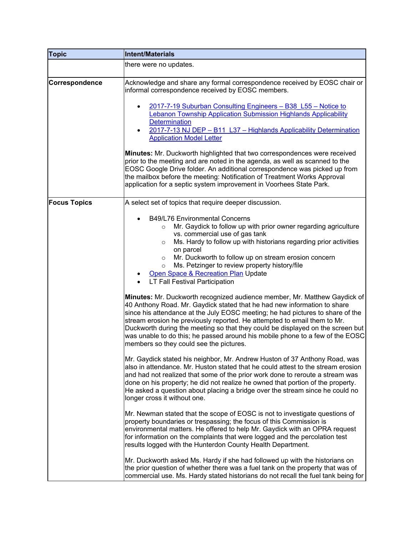| <b>Topic</b>        | <b>Intent/Materials</b>                                                                                                                                                                                                                                                                                                                                                                                                                                                                                                                                                                                                                             |
|---------------------|-----------------------------------------------------------------------------------------------------------------------------------------------------------------------------------------------------------------------------------------------------------------------------------------------------------------------------------------------------------------------------------------------------------------------------------------------------------------------------------------------------------------------------------------------------------------------------------------------------------------------------------------------------|
|                     | there were no updates.                                                                                                                                                                                                                                                                                                                                                                                                                                                                                                                                                                                                                              |
| Correspondence      | Acknowledge and share any formal correspondence received by EOSC chair or<br>informal correspondence received by EOSC members.<br>2017-7-19 Suburban Consulting Engineers - B38 L55 - Notice to<br><b>Lebanon Township Application Submission Highlands Applicability</b><br><b>Determination</b><br>2017-7-13 NJ DEP - B11_L37 - Highlands Applicability Determination<br><b>Application Model Letter</b><br>Minutes: Mr. Duckworth highlighted that two correspondences were received<br>prior to the meeting and are noted in the agenda, as well as scanned to the<br>EOSC Google Drive folder. An additional correspondence was picked up from |
|                     | the mailbox before the meeting: Notification of Treatment Works Approval<br>application for a septic system improvement in Voorhees State Park.                                                                                                                                                                                                                                                                                                                                                                                                                                                                                                     |
| <b>Focus Topics</b> | A select set of topics that require deeper discussion.                                                                                                                                                                                                                                                                                                                                                                                                                                                                                                                                                                                              |
|                     | B49/L76 Environmental Concerns<br>Mr. Gaydick to follow up with prior owner regarding agriculture<br>$\circ$<br>vs. commercial use of gas tank<br>Ms. Hardy to follow up with historians regarding prior activities<br>$\circ$<br>on parcel<br>Mr. Duckworth to follow up on stream erosion concern<br>$\circ$<br>Ms. Petzinger to review property history/file<br>$\circ$<br>Open Space & Recreation Plan Update<br>LT Fall Festival Participation                                                                                                                                                                                                 |
|                     | Minutes: Mr. Duckworth recognized audience member, Mr. Matthew Gaydick of<br>40 Anthony Road. Mr. Gaydick stated that he had new information to share<br>since his attendance at the July EOSC meeting; he had pictures to share of the<br>stream erosion he previously reported. He attempted to email them to Mr.<br>Duckworth during the meeting so that they could be displayed on the screen but<br>was unable to do this; he passed around his mobile phone to a few of the EOSC<br>members so they could see the pictures.                                                                                                                   |
|                     | Mr. Gaydick stated his neighbor, Mr. Andrew Huston of 37 Anthony Road, was<br>also in attendance. Mr. Huston stated that he could attest to the stream erosion<br>and had not realized that some of the prior work done to reroute a stream was<br>done on his property; he did not realize he owned that portion of the property.<br>He asked a question about placing a bridge over the stream since he could no<br>longer cross it without one.                                                                                                                                                                                                  |
|                     | Mr. Newman stated that the scope of EOSC is not to investigate questions of<br>property boundaries or trespassing; the focus of this Commission is<br>environmental matters. He offered to help Mr. Gaydick with an OPRA request<br>for information on the complaints that were logged and the percolation test<br>results logged with the Hunterdon County Health Department.                                                                                                                                                                                                                                                                      |
|                     | Mr. Duckworth asked Ms. Hardy if she had followed up with the historians on<br>the prior question of whether there was a fuel tank on the property that was of<br>commercial use. Ms. Hardy stated historians do not recall the fuel tank being for                                                                                                                                                                                                                                                                                                                                                                                                 |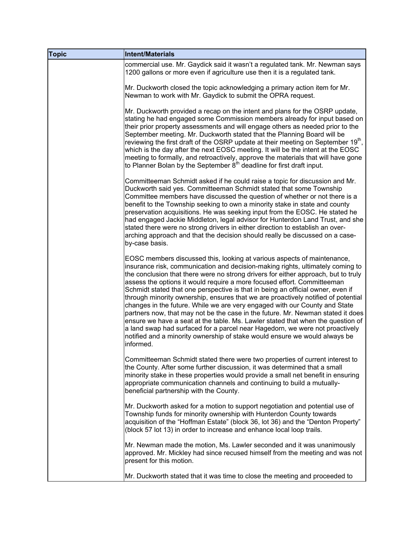| <b>Topic</b> | <b>Intent/Materials</b>                                                                                                                                                                                                                                                                                                                                                                                                                                                                                                                                                                                                                                                                                                                                                                                                                                                                                                           |
|--------------|-----------------------------------------------------------------------------------------------------------------------------------------------------------------------------------------------------------------------------------------------------------------------------------------------------------------------------------------------------------------------------------------------------------------------------------------------------------------------------------------------------------------------------------------------------------------------------------------------------------------------------------------------------------------------------------------------------------------------------------------------------------------------------------------------------------------------------------------------------------------------------------------------------------------------------------|
|              | commercial use. Mr. Gaydick said it wasn't a regulated tank. Mr. Newman says<br>1200 gallons or more even if agriculture use then it is a regulated tank.                                                                                                                                                                                                                                                                                                                                                                                                                                                                                                                                                                                                                                                                                                                                                                         |
|              | Mr. Duckworth closed the topic acknowledging a primary action item for Mr.<br>Newman to work with Mr. Gaydick to submit the OPRA request.                                                                                                                                                                                                                                                                                                                                                                                                                                                                                                                                                                                                                                                                                                                                                                                         |
|              | Mr. Duckworth provided a recap on the intent and plans for the OSRP update,<br>stating he had engaged some Commission members already for input based on<br>their prior property assessments and will engage others as needed prior to the<br>September meeting. Mr. Duckworth stated that the Planning Board will be<br>reviewing the first draft of the OSRP update at their meeting on September 19 <sup>th</sup> ,<br>which is the day after the next EOSC meeting. It will be the intent at the EOSC<br>meeting to formally, and retroactively, approve the materials that will have gone<br>to Planner Bolan by the September 8 <sup>th</sup> deadline for first draft input.                                                                                                                                                                                                                                               |
|              | Committeeman Schmidt asked if he could raise a topic for discussion and Mr.<br>Duckworth said yes. Committeeman Schmidt stated that some Township<br>Committee members have discussed the question of whether or not there is a<br>benefit to the Township seeking to own a minority stake in state and county<br>preservation acquisitions. He was seeking input from the EOSC. He stated he<br>had engaged Jackie Middleton, legal advisor for Hunterdon Land Trust, and she<br>stated there were no strong drivers in either direction to establish an over-<br>arching approach and that the decision should really be discussed on a case-<br>by-case basis.                                                                                                                                                                                                                                                                 |
|              | EOSC members discussed this, looking at various aspects of maintenance,<br>insurance risk, communication and decision-making rights, ultimately coming to<br>the conclusion that there were no strong drivers for either approach, but to truly<br>assess the options it would require a more focused effort. Committeeman<br>Schmidt stated that one perspective is that in being an official owner, even if<br>through minority ownership, ensures that we are proactively notified of potential<br>changes in the future. While we are very engaged with our County and State<br>partners now, that may not be the case in the future. Mr. Newman stated it does<br>ensure we have a seat at the table. Ms. Lawler stated that when the question of<br>a land swap had surfaced for a parcel near Hagedorn, we were not proactively<br>notified and a minority ownership of stake would ensure we would always be<br>informed. |
|              | Committeeman Schmidt stated there were two properties of current interest to<br>the County. After some further discussion, it was determined that a small<br>minority stake in these properties would provide a small net benefit in ensuring<br>appropriate communication channels and continuing to build a mutually-<br>beneficial partnership with the County.                                                                                                                                                                                                                                                                                                                                                                                                                                                                                                                                                                |
|              | Mr. Duckworth asked for a motion to support negotiation and potential use of<br>Township funds for minority ownership with Hunterdon County towards<br>acquisition of the "Hoffman Estate" (block 36, lot 36) and the "Denton Property"<br>(block 57 lot 13) in order to increase and enhance local loop trails.                                                                                                                                                                                                                                                                                                                                                                                                                                                                                                                                                                                                                  |
|              | Mr. Newman made the motion, Ms. Lawler seconded and it was unanimously<br>approved. Mr. Mickley had since recused himself from the meeting and was not<br>present for this motion.                                                                                                                                                                                                                                                                                                                                                                                                                                                                                                                                                                                                                                                                                                                                                |
|              | Mr. Duckworth stated that it was time to close the meeting and proceeded to                                                                                                                                                                                                                                                                                                                                                                                                                                                                                                                                                                                                                                                                                                                                                                                                                                                       |